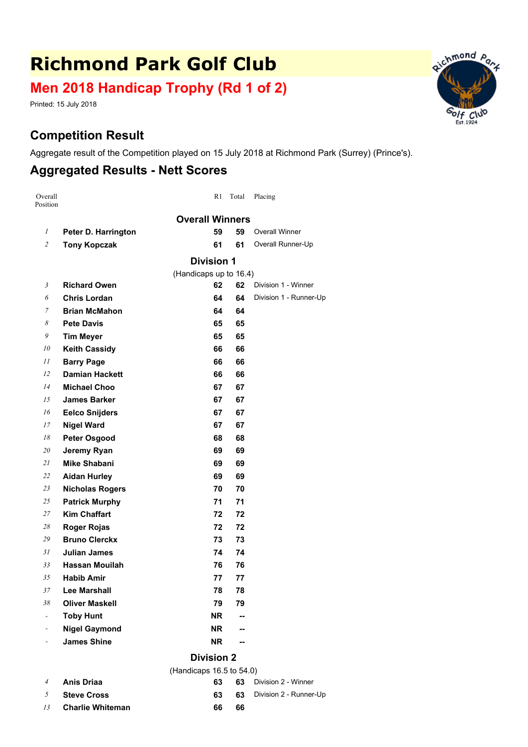# **Richmond Park Golf Club**

## **Men 2018 Handicap Trophy (Rd 1 of 2)**

Printed: 15 July 2018

#### **Competition Result**

Aggregate result of the Competition played on 15 July 2018 at Richmond Park (Surrey) (Prince's).

#### **Aggregated Results - Nett Scores**

| Overall<br>Position      |                        | R1                     | Total                    | Placing                |  |  |  |
|--------------------------|------------------------|------------------------|--------------------------|------------------------|--|--|--|
|                          |                        | <b>Overall Winners</b> |                          |                        |  |  |  |
| 1                        | Peter D. Harrington    | 59                     | 59                       | <b>Overall Winner</b>  |  |  |  |
| $\overline{c}$           | <b>Tony Kopczak</b>    | 61                     | 61                       | Overall Runner-Up      |  |  |  |
|                          |                        | <b>Division 1</b>      |                          |                        |  |  |  |
|                          |                        | (Handicaps up to 16.4) |                          |                        |  |  |  |
| 3                        | <b>Richard Owen</b>    | 62                     | 62                       | Division 1 - Winner    |  |  |  |
| 6                        | <b>Chris Lordan</b>    | 64                     | 64                       | Division 1 - Runner-Up |  |  |  |
| 7                        | <b>Brian McMahon</b>   | 64                     | 64                       |                        |  |  |  |
| 8                        | <b>Pete Davis</b>      | 65                     | 65                       |                        |  |  |  |
| 9                        | <b>Tim Meyer</b>       | 65                     | 65                       |                        |  |  |  |
| 10                       | <b>Keith Cassidy</b>   | 66                     | 66                       |                        |  |  |  |
| 11                       | <b>Barry Page</b>      | 66                     | 66                       |                        |  |  |  |
| 12                       | <b>Damian Hackett</b>  | 66                     | 66                       |                        |  |  |  |
| 14                       | <b>Michael Choo</b>    | 67                     | 67                       |                        |  |  |  |
| 15                       | <b>James Barker</b>    | 67                     | 67                       |                        |  |  |  |
| 16                       | <b>Eelco Snijders</b>  | 67                     | 67                       |                        |  |  |  |
| 17                       | <b>Nigel Ward</b>      | 67                     | 67                       |                        |  |  |  |
| 18                       | <b>Peter Osgood</b>    | 68                     | 68                       |                        |  |  |  |
| 20                       | Jeremy Ryan            | 69                     | 69                       |                        |  |  |  |
| 21                       | <b>Mike Shabani</b>    | 69                     | 69                       |                        |  |  |  |
| 22                       | <b>Aidan Hurley</b>    | 69                     | 69                       |                        |  |  |  |
| 23                       | <b>Nicholas Rogers</b> | 70                     | 70                       |                        |  |  |  |
| 25                       | <b>Patrick Murphy</b>  | 71                     | 71                       |                        |  |  |  |
| 27                       | <b>Kim Chaffart</b>    | 72                     | 72                       |                        |  |  |  |
| 28                       | <b>Roger Rojas</b>     | 72                     | 72                       |                        |  |  |  |
| 29                       | <b>Bruno Clerckx</b>   | 73                     | 73                       |                        |  |  |  |
| 31                       | Julian James           | 74                     | 74                       |                        |  |  |  |
| 33                       | <b>Hassan Mouilah</b>  | 76                     | 76                       |                        |  |  |  |
| 35                       | <b>Habib Amir</b>      | 77                     | 77                       |                        |  |  |  |
| 37                       | <b>Lee Marshall</b>    | 78                     | 78                       |                        |  |  |  |
| 38                       | <b>Oliver Maskell</b>  | 79                     | 79                       |                        |  |  |  |
| $\overline{\phantom{a}}$ | <b>Toby Hunt</b>       | NR.                    | --                       |                        |  |  |  |
| $\overline{\phantom{a}}$ | <b>Nigel Gaymond</b>   | NR.                    | $\overline{\phantom{a}}$ |                        |  |  |  |
| $\overline{\phantom{a}}$ | <b>James Shine</b>     | <b>NR</b>              | --                       |                        |  |  |  |
|                          |                        |                        |                          |                        |  |  |  |

#### **Division 2**  $($ H<sub>andicaps</sub>  $($  40.5 to 54.0<sup> $)$ </sup>

|                | (Handicaps $16.5$ to $54.0$ ) |     |    |                           |  |  |  |
|----------------|-------------------------------|-----|----|---------------------------|--|--|--|
| $\overline{4}$ | Anis Driaa                    | 63. |    | 63 Division 2 - Winner    |  |  |  |
|                | $5$ Steve Cross               | 63. |    | 63 Division 2 - Runner-Up |  |  |  |
| 13             | Charlie Whiteman              | 66  | 66 |                           |  |  |  |